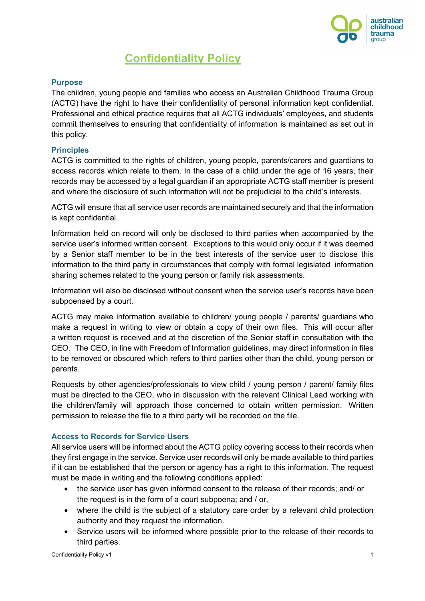

# **Confidentiality Policy**

# **Purpose**

The children, young people and families who access an Australian Childhood Trauma Group (ACTG) have the right to have their confidentiality of personal information kept confidential. Professional and ethical practice requires that all ACTG individuals' employees, and students commit themselves to ensuring that confidentiality of information is maintained as set out in this policy.

# **Principles**

ACTG is committed to the rights of children, young people, parents/carers and guardians to access records which relate to them. In the case of a child under the age of 16 years, their records may be accessed by a legal guardian if an appropriate ACTG staff member is present and where the disclosure of such information will not be prejudicial to the child's interests.

ACTG will ensure that all service user records are maintained securely and that the information is kept confidential.

Information held on record will only be disclosed to third parties when accompanied by the service user's informed written consent. Exceptions to this would only occur if it was deemed by a Senior staff member to be in the best interests of the service user to disclose this information to the third party in circumstances that comply with formal legislated information sharing schemes related to the young person or family risk assessments.

Information will also be disclosed without consent when the service user's records have been subpoenaed by a court.

ACTG may make information available to children/ young people / parents/ guardians who make a request in writing to view or obtain a copy of their own files. This will occur after a written request is received and at the discretion of the Senior staff in consultation with the CEO. The CEO, in line with Freedom of Information guidelines, may direct information in files to be removed or obscured which refers to third parties other than the child, young person or parents.

Requests by other agencies/professionals to view child / young person / parent/ family files must be directed to the CEO, who in discussion with the relevant Clinical Lead working with the children/family will approach those concerned to obtain written permission. Written permission to release the file to a third party will be recorded on the file.

# **Access to Records for Service Users**

All service users will be informed about the ACTG policy covering access to their records when they first engage in the service. Service user records will only be made available to third parties if it can be established that the person or agency has a right to this information. The request must be made in writing and the following conditions applied:

- the service user has given informed consent to the release of their records; and/ or the request is in the form of a court subpoena; and / or,
- where the child is the subject of a statutory care order by a relevant child protection authority and they request the information.
- Service users will be informed where possible prior to the release of their records to third parties.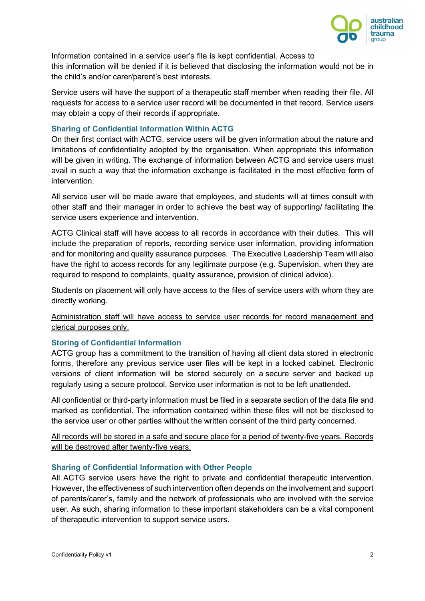

Information contained in a service user's file is kept confidential. Access to this information will be denied if it is believed that disclosing the information would not be in the child's and/or carer/parent's best interests.

Service users will have the support of a therapeutic staff member when reading their file. All requests for access to a service user record will be documented in that record. Service users may obtain a copy of their records if appropriate.

## **Sharing of Confidential Information Within ACTG**

On their first contact with ACTG, service users will be given information about the nature and limitations of confidentiality adopted by the organisation. When appropriate this information will be given in writing. The exchange of information between ACTG and service users must avail in such a way that the information exchange is facilitated in the most effective form of intervention.

All service user will be made aware that employees, and students will at times consult with other staff and their manager in order to achieve the best way of supporting/ facilitating the service users experience and intervention.

ACTG Clinical staff will have access to all records in accordance with their duties. This will include the preparation of reports, recording service user information, providing information and for monitoring and quality assurance purposes. The Executive Leadership Team will also have the right to access records for any legitimate purpose (e.g. Supervision, when they are required to respond to complaints, quality assurance, provision of clinical advice).

Students on placement will only have access to the files of service users with whom they are directly working.

Administration staff will have access to service user records for record management and clerical purposes only.

# **Storing of Confidential Information**

ACTG group has a commitment to the transition of having all client data stored in electronic forms, therefore any previous service user files will be kept in a locked cabinet. Electronic versions of client information will be stored securely on a secure server and backed up regularly using a secure protocol. Service user information is not to be left unattended.

All confidential or third-party information must be filed in a separate section of the data file and marked as confidential. The information contained within these files will not be disclosed to the service user or other parties without the written consent of the third party concerned.

All records will be stored in a safe and secure place for a period of twenty-five years. Records will be destroyed after twenty-five years.

### **Sharing of Confidential Information with Other People**

All ACTG service users have the right to private and confidential therapeutic intervention. However, the effectiveness of such intervention often depends on the involvement and support of parents/carer's, family and the network of professionals who are involved with the service user. As such, sharing information to these important stakeholders can be a vital component of therapeutic intervention to support service users.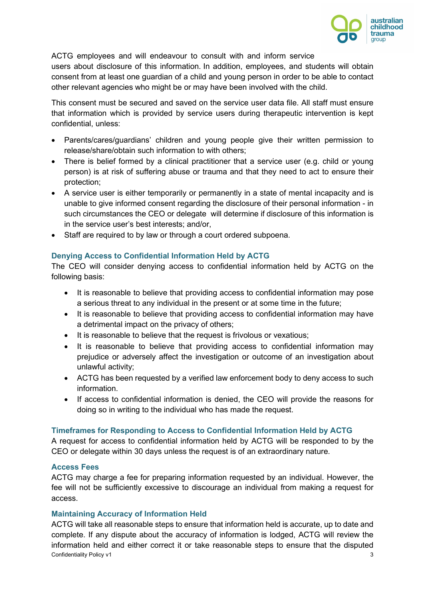

ACTG employees and will endeavour to consult with and inform service users about disclosure of this information. In addition, employees, and students will obtain consent from at least one guardian of a child and young person in order to be able to contact other relevant agencies who might be or may have been involved with the child.

This consent must be secured and saved on the service user data file. All staff must ensure that information which is provided by service users during therapeutic intervention is kept confidential, unless:

- Parents/cares/guardians' children and young people give their written permission to release/share/obtain such information to with others;
- There is belief formed by a clinical practitioner that a service user (e.g. child or young person) is at risk of suffering abuse or trauma and that they need to act to ensure their protection;
- A service user is either temporarily or permanently in a state of mental incapacity and is unable to give informed consent regarding the disclosure of their personal information - in such circumstances the CEO or delegate will determine if disclosure of this information is in the service user's best interests; and/or,
- Staff are required to by law or through a court ordered subpoena.

# **Denying Access to Confidential Information Held by ACTG**

The CEO will consider denying access to confidential information held by ACTG on the following basis:

- It is reasonable to believe that providing access to confidential information may pose a serious threat to any individual in the present or at some time in the future;
- It is reasonable to believe that providing access to confidential information may have a detrimental impact on the privacy of others;
- It is reasonable to believe that the request is frivolous or vexatious;
- It is reasonable to believe that providing access to confidential information may prejudice or adversely affect the investigation or outcome of an investigation about unlawful activity;
- ACTG has been requested by a verified law enforcement body to deny access to such information.
- If access to confidential information is denied, the CEO will provide the reasons for doing so in writing to the individual who has made the request.

# **Timeframes for Responding to Access to Confidential Information Held by ACTG**

A request for access to confidential information held by ACTG will be responded to by the CEO or delegate within 30 days unless the request is of an extraordinary nature.

# **Access Fees**

ACTG may charge a fee for preparing information requested by an individual. However, the fee will not be sufficiently excessive to discourage an individual from making a request for access.

# **Maintaining Accuracy of Information Held**

Confidentiality Policy v1 3 ACTG will take all reasonable steps to ensure that information held is accurate, up to date and complete. If any dispute about the accuracy of information is lodged, ACTG will review the information held and either correct it or take reasonable steps to ensure that the disputed